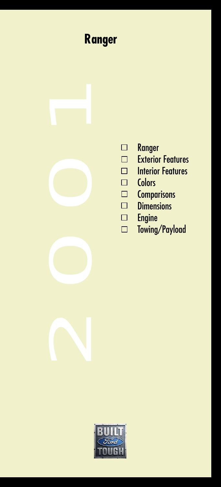## **Ranger**



- 
- [Exterior Features](#page-2-0)
- [Interior Features](#page-3-0)
- **Colors**
- **Comparisons**
- **Dimensions**
- Engine
- [Towing/Payload](#page-7-0)

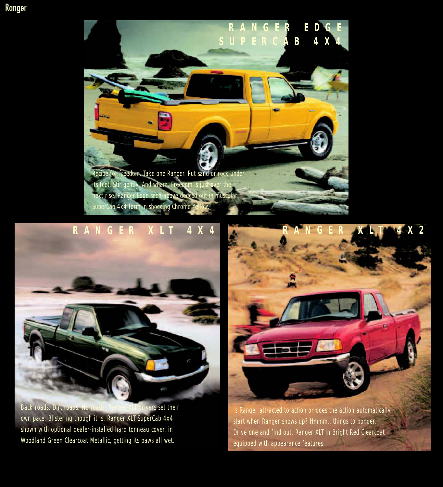## <span id="page-1-0"></span>Ranger



## **RANGER XLT 4X4**



Back roads. Dirt roads. No roads. Ranger XLT drivers set their own pace. Blistering though it is. Ranger XLT SuperCab 4x4 shown with optional dealer-installed hard tonneau cover, in Woodland Green Clearcoat Metallic, getting its paws all wet.



Is Ranger attracted to action or does the action automatically start when Ranger shows up? Hmmm...things to ponder. Drive one and find out. Ranger XLT in Bright Red Clearcoat equipped with appearance features.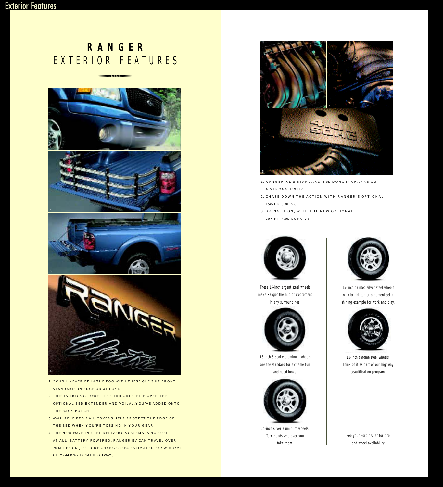# <span id="page-2-0"></span>**RANGER** EXTERIOR FEATURES -



- 1. YOU'LL NEVER BE IN THE FOG WITH THESE GUYS UP FRONT. STANDARD ON EDGE OR XLT 4X4.
- 2. THIS IS TRICKY. LOWER THE TAILGATE. FLIP OVER THE OPTIONAL BED EXTENDER AND VOILA…YOU'VE ADDED ONTO THE BACK PORCH.
- 3. AVAILABLE BED RAIL COVERS HELP PROTECT THE EDGE OF THE BED WHEN YOU'RE TOSSING IN YOUR GEAR.
- 4. THE NEW WAVE IN FUEL DELIVERY SYSTEMS IS NO FUEL AT ALL. BATTERY POWERED, RANGER EV CAN TRAVEL OVER 70 MILES ON JUST ONE CHARGE. (EPA ESTIMATED 38 KW-HR/MI CITY/44 KW-HR/MI HIGHWAY)



- 1. RANGER XL'S STANDARD 2.5L DOHC I4 CRANKS OUT A STRONG 119 HP.
- 2. CHASE DOWN THE ACTION WITH RANGER'S OPTIONAL 150-HP 3.0L V6.
- 3. BRING IT ON, WITH THE NEW OPTIONAL 207-HP 4.0L SOHC V6.



These 15-inch argent steel wheels make Ranger the hub of excitement in any surroundings.



16-inch 5-spoke aluminum wheels are the standard for extreme fun and good looks.



15-inch silver aluminum wheels. Turn heads wherever you take them.



15-inch painted silver steel wheels with bright center ornament set a shining example for work and play.



15-inch chrome steel wheels. Think of it as part of our highway beautification program.

See your Ford dealer for tire and wheel availability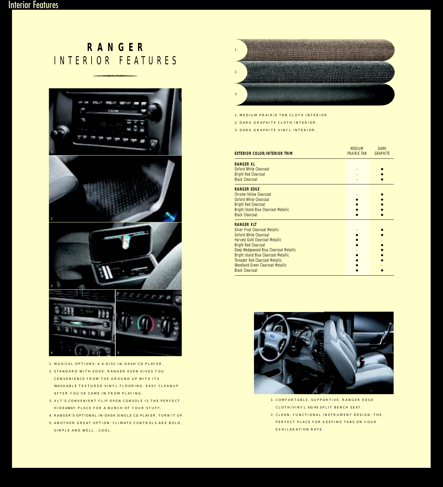# <span id="page-3-0"></span>**RANGER** INTERIOR FEATURES -



1. MUSICAL OPTIONS: A 6-DISC IN-DASH CD PLAYER.

- 2. STANDARD WITH EDGE: RANGER EVEN GIVES YOU CONVENIENCE FROM THE GROUND UP WITH ITS WASHABLE TEXTURED VINYL FLOORING. EASY CLEANUP AFTER YOU'VE COME IN FROM PLAYING.
- 3. XLT'S CONVENIENT FLIP OPEN CONSOLE IS THE PERFECT HIDEAWAY PLACE FOR A BUNCH OF YOUR STUFF.
- 4. RANGER'S OPTIONAL IN-DASH SINGLE CD PLAYER. TURN IT UP.
- 5. ANOTHER GREAT OPTION: CLIMATE CONTROLS ARE BOLD, SIMPLE AND WELL...COOL.



1. MEDIUM PRAIRIE TAN CLOTH INTERIOR.

2. DARK GRAPHITE CLOTH INTERIOR.

3. DARK GRAPHITE VINYL INTERIOR.

| <b>EXTERIOR COLOR/INTERIOR TRIM</b>          | <b>MEDIUM</b><br><b>PRAIRIE TAN</b> | <b>DARK</b><br><b>GRAPHITE</b> |
|----------------------------------------------|-------------------------------------|--------------------------------|
| <b>RANGER XL</b>                             |                                     |                                |
| <b>Oxford White Clearcoat</b>                |                                     |                                |
| <b>Bright Red Clearcoat</b>                  |                                     |                                |
| <b>Black Clearcoat</b>                       |                                     |                                |
| <b>RANGER FDGF</b>                           |                                     |                                |
| Chrome Yellow Clearcoat                      |                                     |                                |
| <b>Oxford White Clearcoat</b>                |                                     |                                |
| <b>Bright Red Clearcoat</b>                  |                                     |                                |
| <b>Bright Island Blue Clearcoat Metallic</b> |                                     |                                |
| <b>Black Clearcoat</b>                       |                                     |                                |
| <b>RANGER XIT</b>                            |                                     |                                |
| <b>Silver Frost Clearcoat Metallic</b>       |                                     |                                |
| Oxford White Clearcoat                       |                                     |                                |
| <b>Harvest Gold Clearcoat Metallic</b>       |                                     |                                |
| <b>Bright Red Clearcoat</b>                  |                                     |                                |
| Deep Wedgewood Blue Clearcoat Metallic       |                                     |                                |
| <b>Bright Island Blue Clearcoat Metallic</b> |                                     |                                |
| <b>Toreador Red Clearcoat Metallic</b>       |                                     |                                |
| <b>Woodland Green Clearcoat Metallic</b>     |                                     |                                |
| <b>Black Clearcoat</b>                       |                                     |                                |



- 1. COMFORTABLE, SUPPORTIVE. RANGER EDGE CLOTH/VINYL 60/40 SPLIT BENCH SEAT.
- 2. CLEAN, FUNCTIONAL INSTRUMENT DESIGN: THE PERFECT PLACE FOR KEEPING TABS ON YOUR EXHILARATION RATE.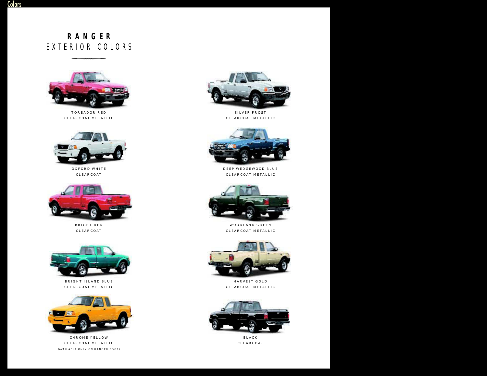# <span id="page-4-0"></span>**RANGER** EXTERIOR COLORS  $210R$  CO



TOREADOR RED CLEARCOAT METALLIC



OXFORD WHITE CLEARCOAT



BRIGHT RED CLEARCOAT



BRIGHT ISLAND BLUE CLEARCOAT METALLIC



CHROME YELLOW CLEARCOAT METALLIC (AVAILABLE ONLY ON RANGER EDGE)



SILVER FROST CLEARCOAT METALLIC



DEEP WEDGEWOOD BLUE CLEARCOAT METALLIC



WOODLAND GREEN CLEARCOAT METALLIC



HARVEST GOLD CLEARCOAT METALLIC



BLACK CLEARCOAT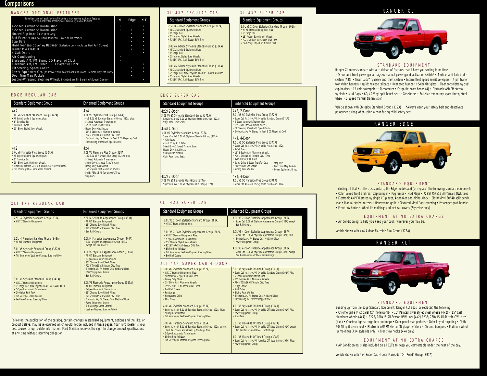<span id="page-5-0"></span>**Comparisons** 

### RANGER OPTIONAL FEATURES 4-Speed Automatic Transmission • • 5-Speed Automatic Transmission<br>
Limited Slip Rear Axle (4x4 only) Limited Slip Rear Axle (4x4 only) • • Bed Extender (NA w/Hard Tonneau Cover or Flareside) • • Step Bars • • Hard Tonneau Cover w/Bedliner (Styleside only, replaces Bed Rail Covers) • • Trailer Tow Class III  $\begin{array}{|c|c|c|c|c|c|c|c|c|} \hline \text{1} & \text{1} & \text{1} & \text{1} & \text{1} \\ \hline \end{array}$ 4 Cab Doors • Air Conditioning • Electronic AM/FM Stereo CD Player w/Clock • Electronic AM/FM Stereo 6 CD Player w/Clock<br>
Till Steering/Speed Control Tilt Steering/Speed Control • • Power Equipment Group: Power Windows/Locks/Mirrors, Remote Keyless Entry • • Door Trim Map Pockets Leather-Wrapped Steering Wheel: Included w/Tilt Steering/Speed Control • XL Edge XLT Some items are not available on all models or may require additional features. See your dealer for specific model availability and restrictions.

### EDGE REGULAR CAB

| <b>Standard Equipment Group</b>                                                                                                                                                                                                                   | <b>Enhanced Equipment Groups</b>                                                                                                                                                                                                                                                                                                                                                   |
|---------------------------------------------------------------------------------------------------------------------------------------------------------------------------------------------------------------------------------------------------|------------------------------------------------------------------------------------------------------------------------------------------------------------------------------------------------------------------------------------------------------------------------------------------------------------------------------------------------------------------------------------|
| 4x2<br>3.0L V6 Styleside Standard Group (322A)<br>• All Edge Standard Equipment plus:<br>• 6' Styleside Box<br>• Bed Rail Covers<br>• 15" Silver Styled Steel Wheels                                                                              | 4x4<br>3.0L V6 Styleside Plus Group (326A)<br>• 4x2 3.0L V6 Styleside Standard Group (322A) plus:<br>• 5-Speed Automatic Transmission<br>• Select Drive Transfer Case<br>• Heavy Duty Gas Shocks<br>• 16" 5-Spoke Cast Aluminum Wheels<br>• P245/75Rx16 All-Terrain OWL Tires<br>• Electronic AM/FM Stereo In-Dash 6 CD Player w/Clock<br>• Tilt Steering Wheel with Speed Control |
| 4x2<br>3.0L V6 Flareside Plus Group (324A)<br>• All Edge Standard Equipment plus:<br>• 6' Flareside Box<br>• 15" Silver Cast Aluminum Wheels<br>• Electronic AM/FM Stereo In-Dash 6 CD Player w/Clock<br>• Tilt Steering Wheel with Speed Control | 4x4<br>3.0L V6 Flareside Plus Group (328A)<br>• 4x2 3.0L V6 Flareside Plus Group (324A) plus:<br>• 5-Speed Automatic Transmission<br>• Select Drive 2-Speed Transfer Case<br>• Heavy Duty Gas Shocks<br>• 16" 5-Spoke Cast Aluminum Wheels<br>• P245/75Rx16 All-Terrain OWL Tires<br>• Step Bars                                                                                   |

### XL 4X2 REGULAR CAB XL 4X2 SUPER CAB

2.5L I4 2-Door Styleside Standard Group (312A) • All XL Standard Equipment Plus: • 15" Argent Styled Steel Wheels • P225/70Rx15 All-Season BSW Tires 3.0L V6 2-Door Styleside Standard Group (314A) • All XL Standard Equipment Plus: 3.0L V6 2-Door Styleside Standard Group (361A) • All XL Standard Equipment Plus: • 6' Cargo Box • 15" Argent Styled Steel Wheels • P225/70Rx15 All-Season BSW Tires • Cloth Vinyl 60/40 Split Bench Seat Standard Equipment Groups Standard Equipment Groups

• 15" Argent Styled Steel Wheels • P225/70Rx15 All-Season BSW Tires

3.0L V6 2-Door Styleside Standard Group (316A) • All XL Standard Equipment Plus: • 7' Cargo Box: Max. Payload 1640 lbs., GVWR 4820 lbs. • 15" Argent Styled Steel Wheels • P225/70Rx15 All-Season BSW Tires

| <b>Standard Equipment Groups</b>                                                                                                                                                                                                                                                                                                                                                                                                              | <b>Enhanced Equipment Groups</b>                                                                                                                                                                                                                                                                                                                                                                                                                                                                                                                                                                                                                                                                            |
|-----------------------------------------------------------------------------------------------------------------------------------------------------------------------------------------------------------------------------------------------------------------------------------------------------------------------------------------------------------------------------------------------------------------------------------------------|-------------------------------------------------------------------------------------------------------------------------------------------------------------------------------------------------------------------------------------------------------------------------------------------------------------------------------------------------------------------------------------------------------------------------------------------------------------------------------------------------------------------------------------------------------------------------------------------------------------------------------------------------------------------------------------------------------------|
| $4x2/2-Door$<br>3.0L V6 SC Styleside Standard Group (371A)<br>• Regular Cab 4x2 3.0L V6 Styleside Standard Group (322A)<br>• Vinyl Rear Jump Seats<br>$4x4/4-$ Door<br>3.0L V6 Styleside Standard Group (376A)<br>• Super Cab 4x2 3.0L V6 Styleside Standard Group (371A)<br>• 4-Cab Doors<br>• Axle 8.8" w/4.10 Ratio<br>• Select Drive 2-Speed Transfer Case<br>• Heavy Duty Gas Shocks<br>• Sliding Rear Window<br>• Cloth Rear Jump Seats | $4x2/2-Door$<br>3.0L V6 SC Styleside Plus Group (372A)<br>• Super Cab 4x2 3.0L V6 Styleside Standard Group (371A)<br>• 5-Speed Automatic Transmission<br>• 15" Silver Cast Aluminum Wheels<br>• Tilt Steering Wheel with Speed Control<br>• Electronic AM/FM Stereo In-Dash 6 CD Player w/Clock<br>$4x4/4-Door$<br>4.0L V6 SC Styleside Plus Group (377A)<br>• Super Cab 4x2 3.0L V6 Styleside Plus Group (372A)<br>• 4-Cab Doors<br>• 16" 5-Spoke Cast Aluminum Wheels<br>• P245/75Rx16 All-Terrain OWL Tires<br>• Axle 8.8" w/4.10 Ratio<br>• Select Drive 2-Speed Transfer Case<br>• Step Bars<br>• Heavy Duty Gas Shocks<br>• Door Trim Map Pockets<br>• Sliding Rear Window<br>• Power Equipment Group |
| $4x2/2-Do$ or<br>3.0L V6 SC Flareside Plus Group (374A)<br>· Super Cab 4x2 3.0L V6 Styleside Plus Group (372A)                                                                                                                                                                                                                                                                                                                                | $4x4/4-$ Door<br>4.0L V6 SC Flareside Plus Group (378A)<br>• Super Cab 4x4 4.0L V6 Styleside Plus Group (377A)                                                                                                                                                                                                                                                                                                                                                                                                                                                                                                                                                                                              |

### XLT 4X2 SUPER CAB

| <b>Standard Equipment Groups</b>                                                                                                                                                                                                                                                                       | <b>Enhanced Equipment Groups</b>                                                                                                                                                                                                                                                                                                                                |
|--------------------------------------------------------------------------------------------------------------------------------------------------------------------------------------------------------------------------------------------------------------------------------------------------------|-----------------------------------------------------------------------------------------------------------------------------------------------------------------------------------------------------------------------------------------------------------------------------------------------------------------------------------------------------------------|
| 3.0L V6 2-Door Styleside Standard Group (381A)<br>• All XLT Standard Equipment                                                                                                                                                                                                                         | 3.0L V6 2-Door Flareside Appearance Group (385A)<br>• Super Cab 3.0L V6 Styleside Appearance Group (382A) except<br><b>Bed Rail Covers</b>                                                                                                                                                                                                                      |
| 3.0L V6 2-Door Styleside Appearance Group (382A)<br>• All XLT Standard Equipment Plus:<br>• 5-Speed Automatic Transmission<br>• 15" Chrome Styled Steel Wheels<br>• P225/70Rx15 All-Season OWL Tires<br>• Sliding Rear Window<br>• Tilt Steering w/Leather-Wrapped Steering Wheel<br>• Bed Rail Covers | 4.0L V6 4-Door Styleside Appearance Group (387A)<br>• Super Cab 3.0L V6 Styleside Appearance Group (382A) Plus:<br>• Electronic AM/FM Stereo Dual Media w/Clock<br>• Power Equipment Group<br>4.0L V6 4-Door Flareside Appearance Group (388A)<br>• Super Cab 3.0L V6 Styleside Appearance Group (382A) except<br><b>Bed Rail Covers and Wheel Lip Moldings</b> |
| XLT 4X4 SUPER CAB 4-DOOR                                                                                                                                                                                                                                                                               |                                                                                                                                                                                                                                                                                                                                                                 |
| 3.0L V6 Styleside Standard Group (392A)<br>• All XLT Standard Equipment Plus:<br>• Select Drive 2-Speed Transfer Case<br>. Heavy Duty Shocks                                                                                                                                                           | 3.0L V6 Styleside Off-Road Group (391A)<br>• Super Cab 4x4 3.0L V6 Styleside Standard Group (392A) Plus:<br>• 5-Speed Automatic Transmission<br>. 16" 5-Snoke Cast Aluminum Wheels                                                                                                                                                                              |

| • Select Drive 2-Speed Transfer Case                           | • 5-Speed Automatic Transmission                               |
|----------------------------------------------------------------|----------------------------------------------------------------|
| • Heavy Duty Shocks                                            | • 16" 5-Spoke Cast Aluminum Wheels                             |
| • 15" Silver Cast Aluminum Wheels                              | • P245/75Rx16 All-Terrain OWL Tires                            |
| • P235/75Rx15 All-Terrain OWL Tires                            | • Bulge Shocks                                                 |
| • Bed Rail Covers                                              | • Skid Plates                                                  |
| • Fog Lamps                                                    | • Sliding Rear Window                                          |
| • Honeycomb Grille                                             | • Electronic AM/FM Stereo Dual Media w/Clock                   |
| • Mud Flaps                                                    | • Tilt Steering w/Leather-Wrapped Wheel                        |
|                                                                |                                                                |
| 4.0L V6 Styleside Standard Group (393A)                        | 4.0L V6 Styleside Off-Road Group (394A)                        |
| • Super Cab 4x4 3.0L V6 Styleside Standard Group (392A) Plus:  | • Super Cab 4x4 3.0L V6 Styleside Off-Road Group (391A) Plus:  |
| • Sliding Rear Window                                          | • Power Equipment Group                                        |
| • Tilt Steering w/Leather-Wrapped Steering Wheel               | • Step Bars                                                    |
|                                                                |                                                                |
| 3.0L V6 Flareside Standard Group (395A)                        | 3.0L V6 Flareside Off-Road Group (397A)                        |
| • Super Cab 4x4 3.0L V6 Styleside Standard Group (392A) except | • Super Cab 4x4 3.0L V6 Styleside Off-Road Group (391A) except |
| Bed Rail Covers and Wheel Lip Moldings, Plus:                  | <b>Bed Rail Covers and Wheel Lip Moldings</b>                  |
| • 5-Speed Automatic Transmission                               |                                                                |
| • Sliding Rear Window                                          | 4.0L V6 Flareside Off-Road Group (398A)                        |
| • Tilt Steering w/Leather-Wrapped Steering Wheel               | • Super Cab 4x4 3.0L V6 Flareside Off-Road Group (397A) Plus:  |
|                                                                | • Power Equipment Group                                        |
|                                                                |                                                                |
|                                                                |                                                                |

### RANGER XL



### STANDARD EQUIPMENT

Ranger XL comes standard with a truckload of features that'll have you smiling in no time. • Driver and front passenger airbags w/manual passenger deactivation switch\* • 4-wheel anti-lock brake system (ABS) • SecuriLock™ passive anti-theft system • Intermittent speed sensitive wipers • 4-pin trailer tow wiring harness • Quick release tailgate • Rear step bumper • Solar tint glass • Floor consolette w/dual cup holders • 12 volt powerpoint • Tachometer • Cargo tie-down hooks (4) • Electronic AM/FM stereo w/clock • Mud flaps • 60/40 Vinyl split bench seat • Gas shocks • Full-size temporary spare tire w/steel wheel • 5-Speed manual transmission

Vehicle shown with Styleside Standard Group (312A) \*Always wear your safety belt and deactivate passenger airbag when using a rear facing child safety seat.

### RANGER EDGE



### STANDARD EQUIPMENT

Including all that XL offers as standard, the Edge models add (or replace) the following standard equipment: • Color keyed front and rear step bumper • Fog lamps • Mud Flaps • P235/75Rx15 All-Terrain OWL tires • Electronic AM/FM stereo w/single CD player, 4-speaker and digital clock • Cloth/vinyl 60/40 split bench seat • Manual styled mirrors • Honeycomb grille • Textured vinyl floor covering • Passenger grab handle • Front tow hooks • Wheel lip moldings and bed rail covers (Styleside only)

EQUIPMENT AT NO EXTRA CHARGE

• Air Conditioning to help you keep your cool...wherever you may be.

Vehicle shown with 4x4 4-door Flareside Plus Group (376A)

### RANGER XLT



### STANDARD EQUIPMENT

Building up from the Edge Standard Equipment, Ranger XLT adds (or replaces) the following: • Chrome grille (4x2 bars/4x4 honeycomb) • 15" Painted silver styled steel wheels (4x2) • 15" Cast aluminum wheels (4x4) • P225/70Rx15 All-Season BSW tires (4x2) P235/75Rx15 All-Terrain OWL tires (4x4) • Courtesy lights (cargo box and map) • Door panel map pockets • Color keyed carpeting • Cloth 60/40 split bench seat • Electronic AM/FM stereo CD player w/clock • Chrome bumpers • Platinum wheel lip moldings (4x4 styleside only) • Front tow hooks (4x4 only)

### EQUIPMENT AT NO EXTRA CHARGE

• Air Conditioning is also included on all XLT's to keep you comfortable under the heat of the day.

Vehicle shown with 4x4 Super Cab 4-door Flareside "Off-Road" Group (397A)

| XLT 4X2 REGULAR CAB                                                                                                                                                                                                                                           |                                                                                                                                                                                                                                                                                                                                         |
|---------------------------------------------------------------------------------------------------------------------------------------------------------------------------------------------------------------------------------------------------------------|-----------------------------------------------------------------------------------------------------------------------------------------------------------------------------------------------------------------------------------------------------------------------------------------------------------------------------------------|
| <b>Standard Equipment Groups</b>                                                                                                                                                                                                                              | <b>Enhanced Equipment Groups</b>                                                                                                                                                                                                                                                                                                        |
| 2.5L 14 Styleside Standard Group (331A)<br>• All XLT Standard Equipment                                                                                                                                                                                       | 2.5L 14 Styleside Appearance Group (333A)<br>• All XLT Standard Equipment<br>• 15" Chrome Styled Steel Wheels<br>• P225/70Rx15 All-Season OWL Tires<br>• Bed Rail Covers                                                                                                                                                                |
| 2.5L 14 Flareside Standard Group (343A)<br>• All XLT Standard Equipment                                                                                                                                                                                       | 2.5L 14 Flareside Appearance Group (344A)<br>• 2.5L 14 Styleside Appearance Group (333A)<br>except Bed Rail Covers                                                                                                                                                                                                                      |
| 3.0L V6 Styleside Standard Group (332A)<br>• All XLT Standard Equipment<br>• Tilt Steering w/Leather-Wrapped Steering Wheel                                                                                                                                   | 3.0L V6 Styleside Appearance Group (336A)<br>• All XLT Standard Equipment<br>• 5-Speed Automatic Transmission<br>• 15" Chrome Styled Steel Wheels<br>• P225/70Rx15 All-Season OWL Tires<br>• Flectronic AM/FM Stereo Dual Media w/Clock<br>• Power Equipment Group<br>• Bed Rail Covers                                                 |
| 3.0L V6 Styleside Standard Group (341A)<br>• All XLT Standard Equipment<br>· 7' Cargo Box: Max Payload 1640 lbs., GVWR 4820<br>• 5-Speed Automatic Transmission<br>• 20 Gallon Fuel Tank<br>• Tilt Steering/Speed Control<br>• Leather-Wrapped Steering Wheel | 3.0L V6 Flareside Appearance Group (347A)<br>• All XLT Standard Equipment<br>• 5-Speed Automatic Transmission<br>• 15" Chrome Styled Steel Wheels<br>• P225/70Rx15 All-Season OWL Tires<br>• Electronic AM/FM Stereo Dual Media w/Clock<br>• Power Equipment Group<br>• Tilt Steering/Speed Control<br>• Leather-Wrapped Steering Wheel |

Following the publication of the catalog, certain changes in standard equipment, options and the like, or product delays, may have occurred which would not be included in these pages. Your Ford Dealer is your best source for up-to-date information. Ford Division reserves the right to change product specifications at any time without incurring obligation.

|          | EDGE SUPER CAB                                                                                                                               |
|----------|----------------------------------------------------------------------------------------------------------------------------------------------|
|          | <b>Standard Equipment Groups</b>                                                                                                             |
| () plus: | 4x2/2-Door<br>3.0L V6 SC Styleside Standard Group (371A)<br>· Regular Cab 4x2 3.0L V6 Styleside Standard Group (3<br>• Vinyl Rear Jump Seats |
|          | 4x4/4-Door                                                                                                                                   |

• 6' Cargo Box

• 6' Cargo Box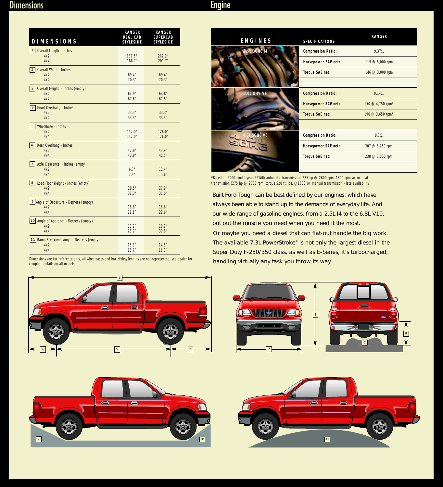<span id="page-6-0"></span>

| <b>DIMENSIONS</b>                                                  | <b>RANGER</b><br>REG. CAB<br><b>STYLESIDE</b> | <b>RANGER</b><br><b>SUPERCAB</b><br><b>STYLESIDE</b> |
|--------------------------------------------------------------------|-----------------------------------------------|------------------------------------------------------|
| 1   Overall Length - Inches<br>4x2<br>4x4                          | 187.5"<br>188.7"                              | 202.9"<br>201.7"                                     |
| <b>Overall Width - Inches</b><br>$\overline{2}$<br>4x2<br>4x4      | 69.4"<br>70.3"                                | 69.4"<br>70.3"                                       |
| Overall Height - Inches (empty)<br>$\mathbf{3}$<br>4x2<br>4x4      | 64.9"<br>67.6"                                | 64.8"<br>67.5"                                       |
| Front Overhang - Inches<br>$\overline{4}$<br>4x2<br>4x4            | 33.3"<br>33.3"                                | 33.3"<br>33.3"                                       |
| Wheelbase - Inches<br>$5\phantom{.0}$<br>4x2<br>4x4                | 112.0"<br>112.0"                              | 126.0"<br>126.0"                                     |
| 6<br>Rear Overhang - Inches<br>4x2<br>4x4                          | 42.6"<br>43.8"                                | 43.9"<br>42.5"                                       |
| 7 <br>Axle Clearance - Inches (empty<br>4x2<br>4x4                 | 6.7"<br>7.4"                                  | 12.4"<br>15.6"                                       |
| 8 <sup>1</sup><br>Load Floor Height - Inches (empty)<br>4x2<br>4x4 | 28.5"<br>31.3"                                | 27.9"<br>31.0"                                       |
| $\mathbf{Q}$<br>Angle of Departure - Degrees (empty)<br>4x2<br>4x4 | $16.6^\circ$<br>21.1                          | 16.6"<br>22.6"                                       |
| 10 Angle of Approach - Degrees (empty)<br>4x2<br>4x4               | $18.2^{\circ}$<br>$28.2^{\circ}$              | 18.2"<br>30.8"                                       |
| 11 Ramp Breakover Angle - Degrees (empty)<br>4x2<br>4x4            | 15.3<br>15.7                                  | $14.5$ <sup>*</sup><br>$16.0^\circ$                  |

Dimensions are for reference only, all wheelbases and box styles/lengths are not represented, see dealer for

complete details on all models.

| ENGINES            | SPECIFICATIONS             | <b>RANGER</b>                  |
|--------------------|----------------------------|--------------------------------|
| <b>5L DOHC 14</b>  | <b>Compression Ratio:</b>  | 9.37:1                         |
|                    | <b>Horsepower SAE net:</b> | 119 @ $5,000$ rpm              |
|                    | Torque SAE net:            | 146 @ 3,000 rpm                |
|                    |                            |                                |
| 3.0L OHV V6        | <b>Compression Ratio:</b>  | 9.14:1                         |
|                    | <b>Horsepower SAE net:</b> | 150 @ 4,750 rpm*               |
|                    | <b>Torque SAE net:</b>     | 190 @ $3,650$ rpm <sup>*</sup> |
|                    |                            |                                |
| SOHC <sub>V6</sub> | <b>Compression Ratio:</b>  | 9.7:1                          |
|                    | <b>Horsepower SAE net:</b> | 207 @ 5,250 rpm                |
|                    | Torque SAE net:            | $238 @ 3,000$ rpm              |

\*Based on 2000 model year. \*\*With automatic transmission. 235 hp @ 2600 rpm, 1800 rpm w/ manual transmission (275 hp @ 2800 rpm, torque 520 ft. lbs. @1600 w/ manual transmission - late availability).

Built Ford Tough can be best defined by our engines, which have always been able to stand up to the demands of everyday life. And our wide range of gasoline engines, from a 2.5L I4 to the 6.8L V10, put out the muscle you need when you need it the most. Or maybe you need a diesel that can flat-out handle the big work. The available 7.3L PowerStroke® is not only the largest diesel in the Super Duty F-250/350 class, as well as E-Series, it's turbocharged, handling virtually any task you throw its way.







7

 $\bigodot$ 

8

3

2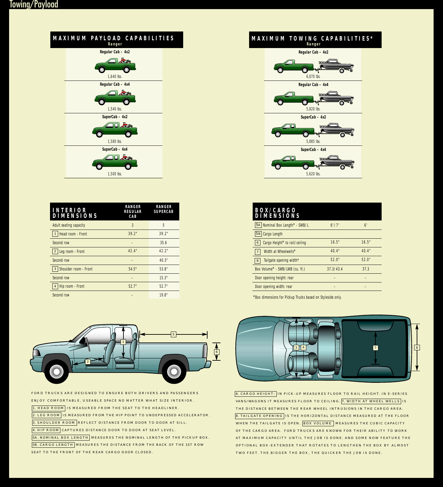<span id="page-7-0"></span>

| <b>INTERIOR</b><br><b>DIMENSIONS</b> | <b>RANGER</b><br><b>REGULAR</b><br>CAB | <b>RANGER</b><br><b>SUPERCAB</b> |
|--------------------------------------|----------------------------------------|----------------------------------|
| <b>Adult seating capacity</b>        | 3                                      | 5                                |
| Head room - Front                    | 39.2"                                  | 39.2"                            |
| Second row                           |                                        | 35.6                             |
| Leg room - Front                     | 42.4"                                  | 42.2"                            |
| Second row                           |                                        | 40.3"                            |
| Shoulder room - Front<br>3           | 54.5"                                  | 53.8"                            |
| Second row                           |                                        | 15.3"                            |
| Hip room - Front                     | 52.7"                                  | 52.7"                            |
| Second row                           |                                        | 19.8"                            |



FORD TRUCKS ARE DESIGNED TO ENSURE BOTH DRIVERS AND PASSENGERS ENJOY COMFORTABLE, USEABLE SPACE NO MATTER WHAT SIZE INTERIOR. 1. HEAD ROOM IS MEASURED FROM THE SEAT TO THE HEADLINER. 2. LEG ROOM IS MEASURED FROM THE HIP POINT TO UNDEPRESSED ACCELERATOR. 3. SHOULDER ROOM REFLECT DISTANCE FROM DOOR TO DOOR AT SILL. 4. HIP ROOM CAPTURES DISTANCE DOOR TO DOOR AT SEAT LEVEL. **5A. NOMINAL BOX LENGTH** MEASURES THE NOMINAL LENGTH OF THE PICKUP BOX. **5B. CARGO LENGTH** MEASURES THE DISTANCE FROM THE BACK OF THE 1ST ROW SEAT TO THE FRONT OF THE REAR CARGO DOOR CLOSED.



**SuperCab – 4x4**  $\ddot{\mathbf{O}}$ *5,620 lbs.*

| <b>BOX/CARGO</b><br><b>DIMENSIONS</b> |           |       |
|---------------------------------------|-----------|-------|
| 5A Nominal Box Length* - SWB/L        | $6'$ /7'  | 6'    |
| Cargo Length<br>5B                    |           |       |
| Cargo Height* to rail/ceiling<br>6    | 16.5"     | 16.5" |
| Width at Wheelwells*                  | 40.4"     | 40.4" |
| Tailgate opening width*<br>8          | 52.0"     | 52.0" |
| Box Volume* - SWB/LWB (cu. ft.)       | 37.3/43.4 | 37.3  |
| Door opening height: rear             |           |       |
| Door opening width: rear              |           |       |

\*Box dimensions for Pickup Trucks based on Styleside only.



6. CARGO HEIGHT: IN PICK-UP MEASURES FLOOR TO RAIL HEIGHT. IN E-SERIES VANS/WAGONS IT MEASURES FLOOR TO CEILING. 7. WIDTH AT WHEEL WELLS IS THE DISTANCE BETWEEN THE REAR WHEEL INTRUSIONS IN THE CARGO AREA. **8. TAILGATE OPENING** IS THE HORIZONTAL DISTANCE MEASURED AT THE FLOOR WHEN THE TAILGATE IS OPEN. BOX VOLUME MEASURES THE CUBIC CAPACITY OF THE CARGO AREA. FORD TRUCKS ARE KNOWN FOR THEIR ABILITY TO WORK AT MAXIMUM CAPACITY UNTIL THE JOB IS DONE. AND SOME NOW FEATURE THE OPTIONAL BOX-EXTENDER THAT ROTATES TO LENGTHEN THE BOX BY ALMOST TWO FEET. THE BIGGER THE BOX, THE QUICKER THE JOB IS DONE.